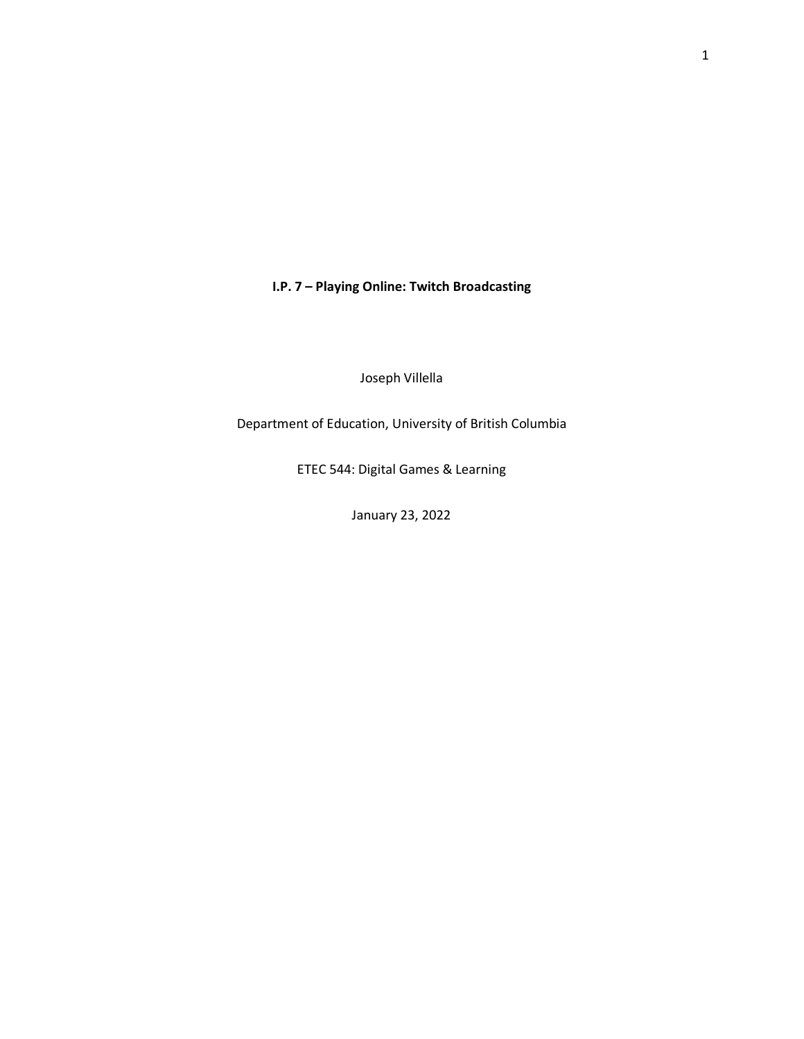**I.P. 7 – Playing Online: Twitch Broadcasting**

Joseph Villella

Department of Education, University of British Columbia

ETEC 544: Digital Games & Learning

January 23, 2022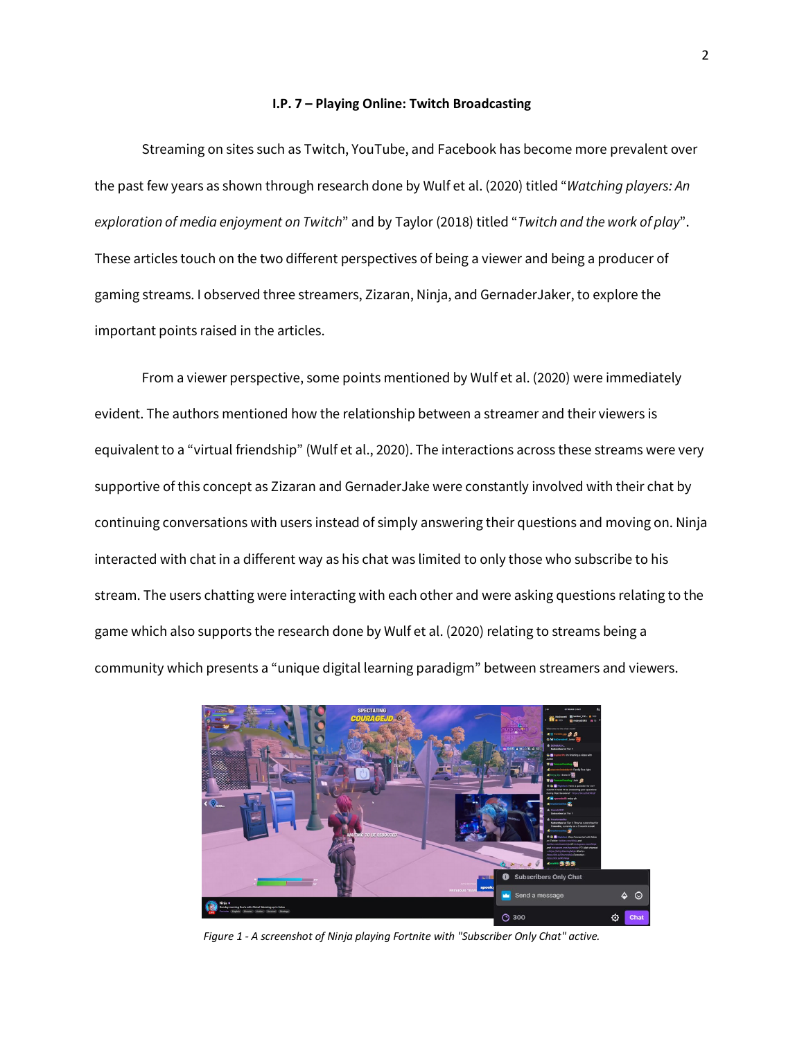## **I.P. 7 – Playing Online: Twitch Broadcasting**

Streaming on sites such as Twitch, YouTube, and Facebook has become more prevalent over the past few years as shown through research done by Wulf et al. (2020) titled "*Watching players: An exploration of media enjoyment on Twitch*" and by Taylor (2018) titled "*Twitch and the work of play*". These articles touch on the two different perspectives of being a viewer and being a producer of gaming streams. I observed three streamers, Zizaran, Ninja, and GernaderJaker, to explore the important points raised in the articles.

From a viewer perspective, some points mentioned by Wulf et al. (2020) were immediately evident. The authors mentioned how the relationship between a streamer and their viewers is equivalent to a "virtual friendship" (Wulf et al., 2020). The interactions across these streams were very supportive of this concept as Zizaran and GernaderJake were constantly involved with their chat by continuing conversations with users instead of simply answering their questions and moving on. Ninja interacted with chat in a different way as his chat was limited to only those who subscribe to his stream. The users chatting were interacting with each other and were asking questions relating to the game which also supports the research done by Wulf et al. (2020) relating to streams being a community which presents a "unique digital learning paradigm" between streamers and viewers.



*Figure 1 - A screenshot of Ninja playing Fortnite with "Subscriber Only Chat" active.*

2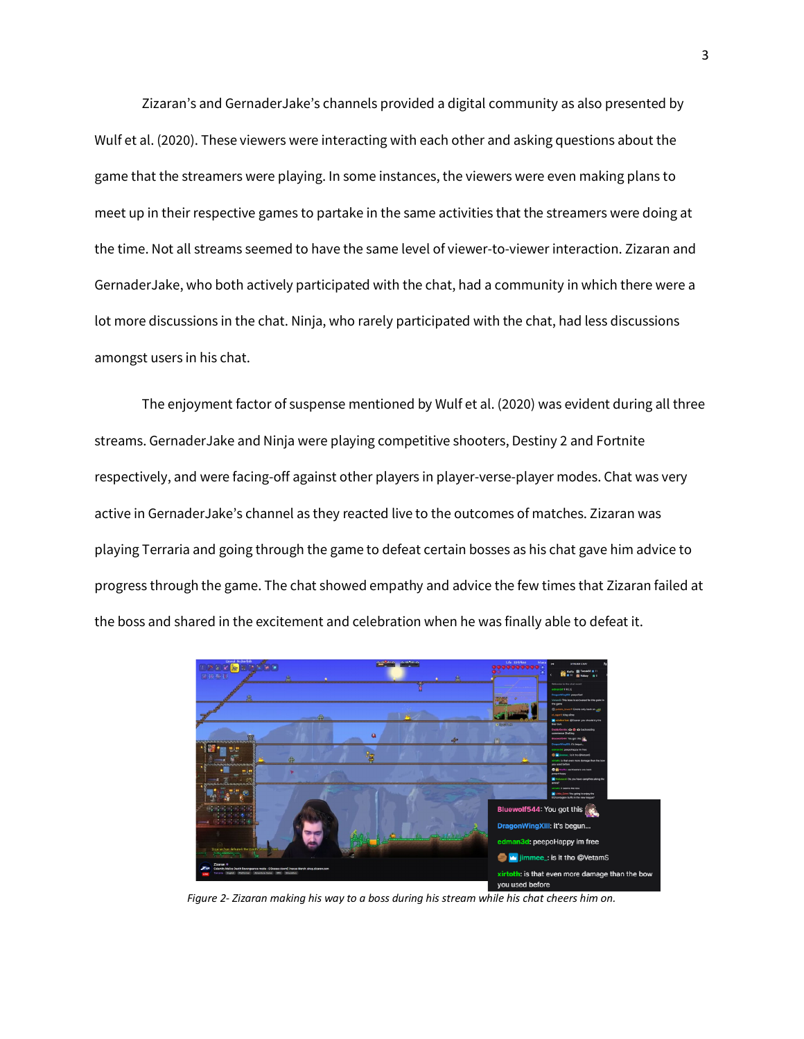Zizaran's and GernaderJake's channels provided a digital community as also presented by Wulf et al. (2020). These viewers were interacting with each other and asking questions about the game that the streamers were playing. In some instances, the viewers were even making plans to meet up in their respective games to partake in the same activities that the streamers were doing at the time. Not all streams seemed to have the same level of viewer-to-viewer interaction. Zizaran and GernaderJake, who both actively participated with the chat, had a community in which there were a lot more discussions in the chat. Ninja, who rarely participated with the chat, had less discussions amongst users in his chat.

The enjoyment factor of suspense mentioned by Wulf et al. (2020) was evident during all three streams. GernaderJake and Ninja were playing competitive shooters, Destiny 2 and Fortnite respectively, and were facing-off against other players in player-verse-player modes. Chat was very active in GernaderJake's channel as they reacted live to the outcomes of matches. Zizaran was playing Terraria and going through the game to defeat certain bosses as his chat gave him advice to progress through the game. The chat showed empathy and advice the few times that Zizaran failed at the boss and shared in the excitement and celebration when he was finally able to defeat it.



*Figure 2- Zizaran making his way to a boss during his stream while his chat cheers him on.*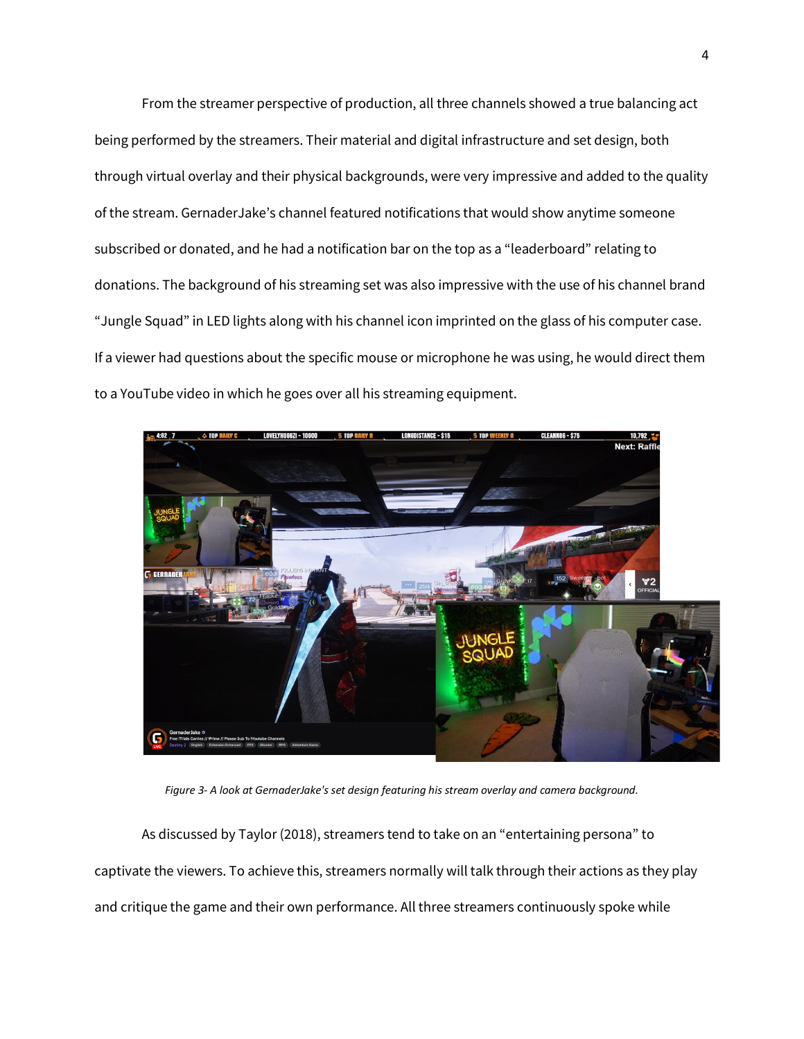From the streamer perspective of production, all three channels showed a true balancing act being performed by the streamers. Their material and digital infrastructure and set design, both through virtual overlay and their physical backgrounds, were very impressive and added to the quality of the stream. GernaderJake's channel featured notifications that would show anytime someone subscribed or donated, and he had a notification bar on the top as a "leaderboard" relating to donations. The background of his streaming set was also impressive with the use of his channel brand "Jungle Squad" in LED lights along with his channel icon imprinted on the glass of his computer case. If a viewer had questions about the specific mouse or microphone he was using, he would direct them to a YouTube video in which he goes over all his streaming equipment.



*Figure 3- A look at GernaderJake's set design featuring his stream overlay and camera background.*

As discussed by Taylor (2018), streamers tend to take on an "entertaining persona" to captivate the viewers. To achieve this, streamers normally will talk through their actions as they play and critique the game and their own performance. All three streamers continuously spoke while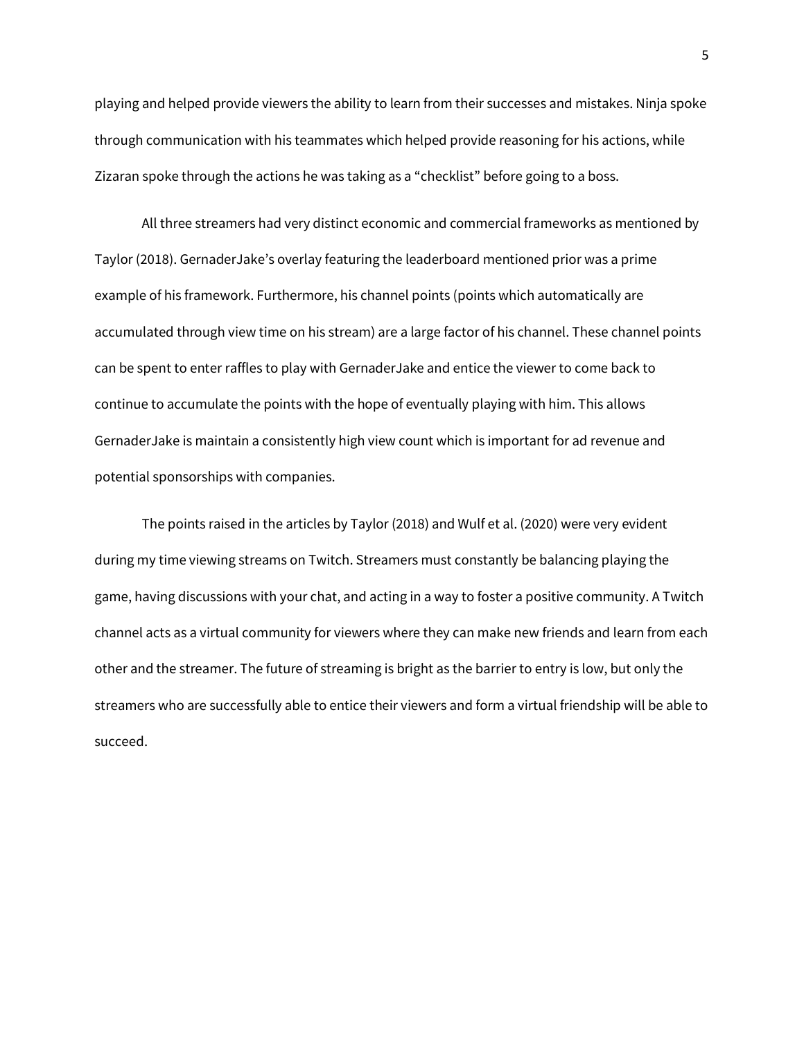playing and helped provide viewers the ability to learn from their successes and mistakes. Ninja spoke through communication with his teammates which helped provide reasoning for his actions, while Zizaran spoke through the actions he was taking as a "checklist" before going to a boss.

All three streamers had very distinct economic and commercial frameworks as mentioned by Taylor (2018). GernaderJake's overlay featuring the leaderboard mentioned prior was a prime example of his framework. Furthermore, his channel points (points which automatically are accumulated through view time on his stream) are a large factor of his channel. These channel points can be spent to enter raffles to play with GernaderJake and entice the viewer to come back to continue to accumulate the points with the hope of eventually playing with him. This allows GernaderJake is maintain a consistently high view count which is important for ad revenue and potential sponsorships with companies.

The points raised in the articles by Taylor (2018) and Wulf et al. (2020) were very evident during my time viewing streams on Twitch. Streamers must constantly be balancing playing the game, having discussions with your chat, and acting in a way to foster a positive community. A Twitch channel acts as a virtual community for viewers where they can make new friends and learn from each other and the streamer. The future of streaming is bright as the barrier to entry is low, but only the streamers who are successfully able to entice their viewers and form a virtual friendship will be able to succeed.